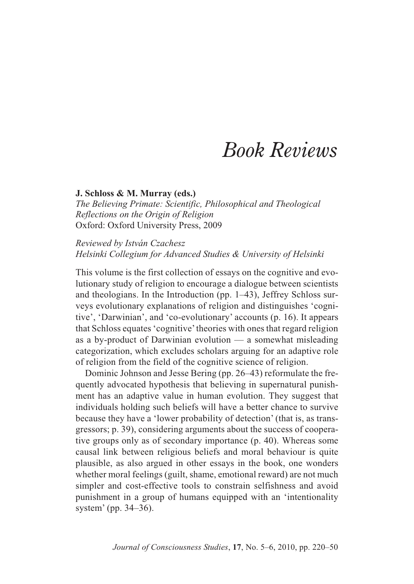# *Book Reviews*

## **J. Schloss & M. Murray (eds.)**

*The Believing Primate: Scientific, Philosophical and Theological Reflections on the Origin of Religion* Oxford: Oxford University Press, 2009

# *Reviewed by István Czachesz Helsinki Collegium for Advanced Studies & University of Helsinki*

This volume is the first collection of essays on the cognitive and evolutionary study of religion to encourage a dialogue between scientists and theologians. In the Introduction (pp. 1–43), Jeffrey Schloss surveys evolutionary explanations of religion and distinguishes 'cognitive', 'Darwinian', and 'co-evolutionary' accounts (p. 16). It appears that Schloss equates 'cognitive'theories with ones that regard religion as a by-product of Darwinian evolution — a somewhat misleading categorization, which excludes scholars arguing for an adaptive role of religion from the field of the cognitive science of religion.

Dominic Johnson and Jesse Bering (pp. 26–43) reformulate the frequently advocated hypothesis that believing in supernatural punishment has an adaptive value in human evolution. They suggest that individuals holding such beliefs will have a better chance to survive because they have a 'lower probability of detection' (that is, as transgressors; p. 39), considering arguments about the success of cooperative groups only as of secondary importance (p. 40). Whereas some causal link between religious beliefs and moral behaviour is quite plausible, as also argued in other essays in the book, one wonders whether moral feelings (guilt, shame, emotional reward) are not much simpler and cost-effective tools to constrain selfishness and avoid punishment in a group of humans equipped with an 'intentionality system' (pp. 34–36).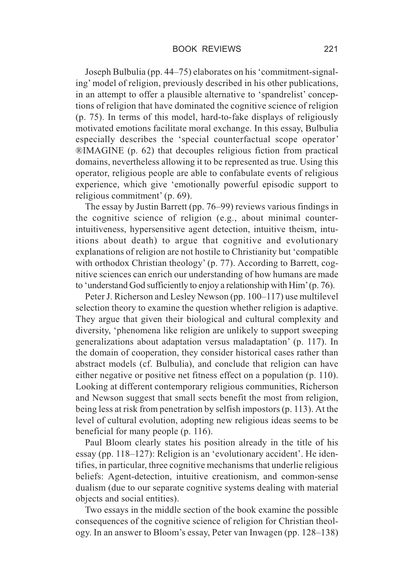Joseph Bulbulia (pp. 44–75) elaborates on his 'commitment-signaling' model of religion, previously described in his other publications, in an attempt to offer a plausible alternative to 'spandrelist' conceptions of religion that have dominated the cognitive science of religion (p. 75). In terms of this model, hard-to-fake displays of religiously motivated emotions facilitate moral exchange. In this essay, Bulbulia especially describes the 'special counterfactual scope operator' ®IMAGINE (p. 62) that decouples religious fiction from practical domains, nevertheless allowing it to be represented as true. Using this operator, religious people are able to confabulate events of religious experience, which give 'emotionally powerful episodic support to religious commitment' (p. 69).

The essay by Justin Barrett (pp. 76–99) reviews various findings in the cognitive science of religion (e.g., about minimal counterintuitiveness, hypersensitive agent detection, intuitive theism, intuitions about death) to argue that cognitive and evolutionary explanations of religion are not hostile to Christianity but 'compatible with orthodox Christian theology' (p. 77). According to Barrett, cognitive sciences can enrich our understanding of how humans are made to 'understand God sufficiently to enjoy a relationship with Him'(p. 76).

Peter J. Richerson and Lesley Newson (pp. 100–117) use multilevel selection theory to examine the question whether religion is adaptive. They argue that given their biological and cultural complexity and diversity, 'phenomena like religion are unlikely to support sweeping generalizations about adaptation versus maladaptation' (p. 117). In the domain of cooperation, they consider historical cases rather than abstract models (cf. Bulbulia), and conclude that religion can have either negative or positive net fitness effect on a population (p. 110). Looking at different contemporary religious communities, Richerson and Newson suggest that small sects benefit the most from religion, being less at risk from penetration by selfish impostors (p. 113). At the level of cultural evolution, adopting new religious ideas seems to be beneficial for many people (p. 116).

Paul Bloom clearly states his position already in the title of his essay (pp. 118–127): Religion is an 'evolutionary accident'. He identifies, in particular, three cognitive mechanisms that underlie religious beliefs: Agent-detection, intuitive creationism, and common-sense dualism (due to our separate cognitive systems dealing with material objects and social entities).

Two essays in the middle section of the book examine the possible consequences of the cognitive science of religion for Christian theology. In an answer to Bloom's essay, Peter van Inwagen (pp. 128–138)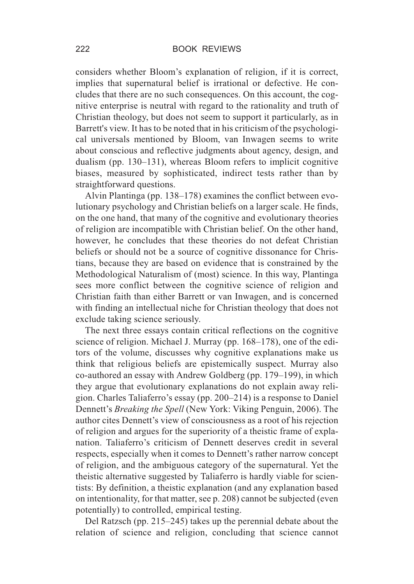considers whether Bloom's explanation of religion, if it is correct, implies that supernatural belief is irrational or defective. He concludes that there are no such consequences. On this account, the cognitive enterprise is neutral with regard to the rationality and truth of Christian theology, but does not seem to support it particularly, as in Barrett's view. It has to be noted that in his criticism of the psychological universals mentioned by Bloom, van Inwagen seems to write about conscious and reflective judgments about agency, design, and dualism (pp. 130–131), whereas Bloom refers to implicit cognitive biases, measured by sophisticated, indirect tests rather than by straightforward questions.

Alvin Plantinga (pp. 138–178) examines the conflict between evolutionary psychology and Christian beliefs on a larger scale. He finds, on the one hand, that many of the cognitive and evolutionary theories of religion are incompatible with Christian belief. On the other hand, however, he concludes that these theories do not defeat Christian beliefs or should not be a source of cognitive dissonance for Christians, because they are based on evidence that is constrained by the Methodological Naturalism of (most) science. In this way, Plantinga sees more conflict between the cognitive science of religion and Christian faith than either Barrett or van Inwagen, and is concerned with finding an intellectual niche for Christian theology that does not exclude taking science seriously.

The next three essays contain critical reflections on the cognitive science of religion. Michael J. Murray (pp. 168–178), one of the editors of the volume, discusses why cognitive explanations make us think that religious beliefs are epistemically suspect. Murray also co-authored an essay with Andrew Goldberg (pp. 179–199), in which they argue that evolutionary explanations do not explain away religion. Charles Taliaferro's essay (pp. 200–214) is a response to Daniel Dennett's *Breaking the Spell* (New York: Viking Penguin, 2006). The author cites Dennett's view of consciousness as a root of his rejection of religion and argues for the superiority of a theistic frame of explanation. Taliaferro's criticism of Dennett deserves credit in several respects, especially when it comes to Dennett's rather narrow concept of religion, and the ambiguous category of the supernatural. Yet the theistic alternative suggested by Taliaferro is hardly viable for scientists: By definition, a theistic explanation (and any explanation based on intentionality, for that matter, see p. 208) cannot be subjected (even potentially) to controlled, empirical testing.

Del Ratzsch (pp. 215–245) takes up the perennial debate about the relation of science and religion, concluding that science cannot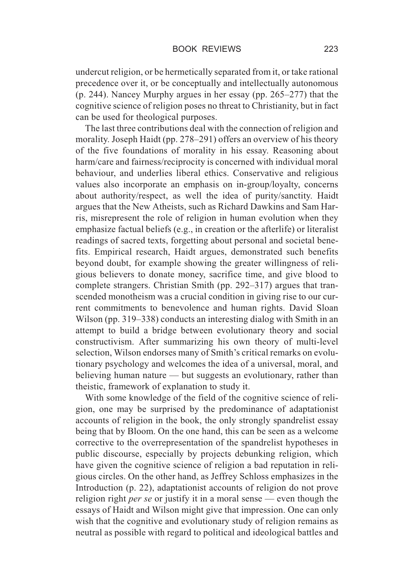undercut religion, or be hermetically separated from it, or take rational precedence over it, or be conceptually and intellectually autonomous (p. 244). Nancey Murphy argues in her essay (pp. 265–277) that the cognitive science of religion poses no threat to Christianity, but in fact can be used for theological purposes.

The last three contributions deal with the connection of religion and morality. Joseph Haidt (pp. 278–291) offers an overview of his theory of the five foundations of morality in his essay. Reasoning about harm/care and fairness/reciprocity is concerned with individual moral behaviour, and underlies liberal ethics. Conservative and religious values also incorporate an emphasis on in-group/loyalty, concerns about authority/respect, as well the idea of purity/sanctity. Haidt argues that the New Atheists, such as Richard Dawkins and Sam Harris, misrepresent the role of religion in human evolution when they emphasize factual beliefs (e.g., in creation or the afterlife) or literalist readings of sacred texts, forgetting about personal and societal benefits. Empirical research, Haidt argues, demonstrated such benefits beyond doubt, for example showing the greater willingness of religious believers to donate money, sacrifice time, and give blood to complete strangers. Christian Smith (pp. 292–317) argues that transcended monotheism was a crucial condition in giving rise to our current commitments to benevolence and human rights. David Sloan Wilson (pp. 319–338) conducts an interesting dialog with Smith in an attempt to build a bridge between evolutionary theory and social constructivism. After summarizing his own theory of multi-level selection, Wilson endorses many of Smith's critical remarks on evolutionary psychology and welcomes the idea of a universal, moral, and believing human nature — but suggests an evolutionary, rather than theistic, framework of explanation to study it.

With some knowledge of the field of the cognitive science of religion, one may be surprised by the predominance of adaptationist accounts of religion in the book, the only strongly spandrelist essay being that by Bloom. On the one hand, this can be seen as a welcome corrective to the overrepresentation of the spandrelist hypotheses in public discourse, especially by projects debunking religion, which have given the cognitive science of religion a bad reputation in religious circles. On the other hand, as Jeffrey Schloss emphasizes in the Introduction (p. 22), adaptationist accounts of religion do not prove religion right *per se* or justify it in a moral sense — even though the essays of Haidt and Wilson might give that impression. One can only wish that the cognitive and evolutionary study of religion remains as neutral as possible with regard to political and ideological battles and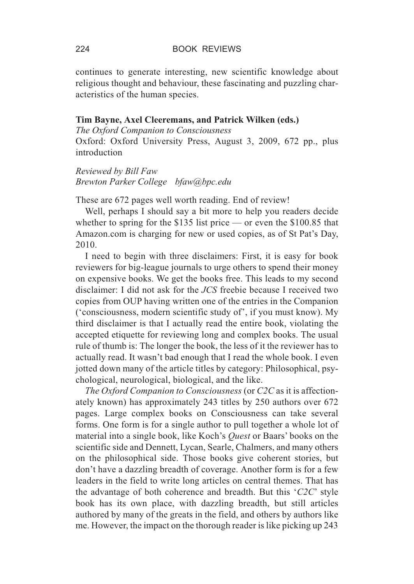continues to generate interesting, new scientific knowledge about religious thought and behaviour, these fascinating and puzzling characteristics of the human species.

# **Tim Bayne, Axel Cleeremans, and Patrick Wilken (eds.)**

*The Oxford Companion to Consciousness* Oxford: Oxford University Press, August 3, 2009, 672 pp., plus introduction

*Reviewed by Bill Faw Brewton Parker College bfaw@bpc.edu*

These are 672 pages well worth reading. End of review!

Well, perhaps I should say a bit more to help you readers decide whether to spring for the \$135 list price — or even the \$100.85 that Amazon.com is charging for new or used copies, as of St Pat's Day, 2010.

I need to begin with three disclaimers: First, it is easy for book reviewers for big-league journals to urge others to spend their money on expensive books. We get the books free. This leads to my second disclaimer: I did not ask for the *JCS* freebie because I received two copies from OUP having written one of the entries in the Companion ('consciousness, modern scientific study of', if you must know). My third disclaimer is that I actually read the entire book, violating the accepted etiquette for reviewing long and complex books. The usual rule of thumb is: The longer the book, the less of it the reviewer has to actually read. It wasn't bad enough that I read the whole book. I even jotted down many of the article titles by category: Philosophical, psychological, neurological, biological, and the like.

*The Oxford Companion to Consciousness* (or *C2C* as it is affectionately known) has approximately 243 titles by 250 authors over 672 pages. Large complex books on Consciousness can take several forms. One form is for a single author to pull together a whole lot of material into a single book, like Koch's *Quest* or Baars' books on the scientific side and Dennett, Lycan, Searle, Chalmers, and many others on the philosophical side. Those books give coherent stories, but don't have a dazzling breadth of coverage. Another form is for a few leaders in the field to write long articles on central themes. That has the advantage of both coherence and breadth. But this '*C2C*' style book has its own place, with dazzling breadth, but still articles authored by many of the greats in the field, and others by authors like me. However, the impact on the thorough reader is like picking up 243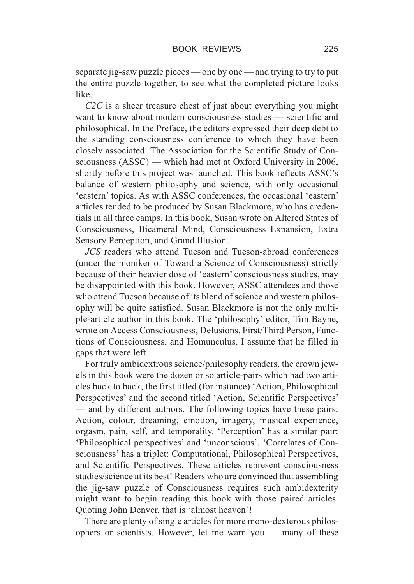separate jig-saw puzzle pieces — one by one — and trying to try to put the entire puzzle together, to see what the completed picture looks like.

*C2C* is a sheer treasure chest of just about everything you might want to know about modern consciousness studies — scientific and philosophical. In the Preface, the editors expressed their deep debt to the standing consciousness conference to which they have been closely associated: The Association for the Scientific Study of Consciousness (ASSC) — which had met at Oxford University in 2006, shortly before this project was launched. This book reflects ASSC's balance of western philosophy and science, with only occasional 'eastern' topics. As with ASSC conferences, the occasional 'eastern' articles tended to be produced by Susan Blackmore, who has credentials in all three camps. In this book, Susan wrote on Altered States of Consciousness, Bicameral Mind, Consciousness Expansion, Extra Sensory Perception, and Grand Illusion.

*JCS* readers who attend Tucson and Tucson-abroad conferences (under the moniker of Toward a Science of Consciousness) strictly because of their heavier dose of 'eastern' consciousness studies, may be disappointed with this book. However, ASSC attendees and those who attend Tucson because of its blend of science and western philosophy will be quite satisfied. Susan Blackmore is not the only multiple-article author in this book. The 'philosophy' editor, Tim Bayne, wrote on Access Consciousness, Delusions, First/Third Person, Functions of Consciousness, and Homunculus. I assume that he filled in gaps that were left.

For truly ambidextrous science/philosophy readers, the crown jewels in this book were the dozen or so article-pairs which had two articles back to back, the first titled (for instance) 'Action, Philosophical Perspectives' and the second titled 'Action, Scientific Perspectives' — and by different authors. The following topics have these pairs: Action, colour, dreaming, emotion, imagery, musical experience, orgasm, pain, self, and temporality. 'Perception' has a similar pair: 'Philosophical perspectives' and 'unconscious'. 'Correlates of Consciousness' has a triplet: Computational, Philosophical Perspectives, and Scientific Perspectives. These articles represent consciousness studies/science at its best! Readers who are convinced that assembling the jig-saw puzzle of Consciousness requires such ambidexterity might want to begin reading this book with those paired articles. Quoting John Denver, that is 'almost heaven'!

There are plenty of single articles for more mono-dexterous philosophers or scientists. However, let me warn you — many of these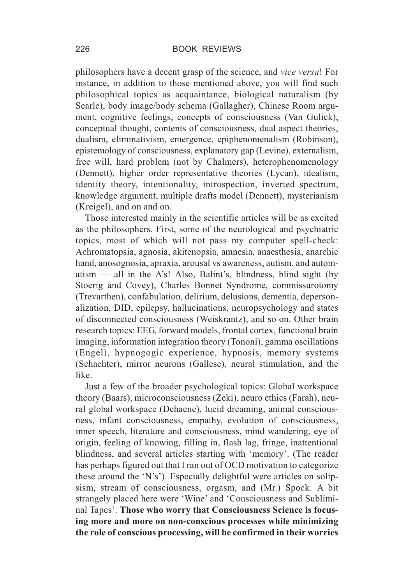philosophers have a decent grasp of the science, and *vice versa*! For instance, in addition to those mentioned above, you will find such philosophical topics as acquaintance, biological naturalism (by Searle), body image/body schema (Gallagher), Chinese Room argument, cognitive feelings, concepts of consciousness (Van Gulick), conceptual thought, contents of consciousness, dual aspect theories, dualism, eliminativism, emergence, epiphenomenalism (Robinson), epistemology of consciousness, explanatory gap (Levine), externalism, free will, hard problem (not by Chalmers), heterophenomenology (Dennett), higher order representative theories (Lycan), idealism, identity theory, intentionality, introspection, inverted spectrum, knowledge argument, multiple drafts model (Dennett), mysterianism (Kreigel), and on and on.

Those interested mainly in the scientific articles will be as excited as the philosophers. First, some of the neurological and psychiatric topics, most of which will not pass my computer spell-check: Achromatopsia, agnosia, akitenopsia, amnesia, anaesthesia, anarchic hand, anosognosia, apraxia, arousal vs awareness, autism, and automatism  $-$  all in the A's! Also, Balint's, blindness, blind sight (by Stoerig and Covey), Charles Bonnet Syndrome, commissurotomy (Trevarthen), confabulation, delirium, delusions, dementia, depersonalization, DID, epilepsy, hallucinations, neuropsychology and states of disconnected consciousness (Weiskrantz), and so on. Other brain research topics: EEG, forward models, frontal cortex, functional brain imaging, information integration theory (Tononi), gamma oscillations (Engel), hypnogogic experience, hypnosis, memory systems (Schachter), mirror neurons (Gallese), neural stimulation, and the like.

Just a few of the broader psychological topics: Global workspace theory (Baars), microconsciousness (Zeki), neuro ethics (Farah), neural global workspace (Dehaene), lucid dreaming, animal consciousness, infant consciousness, empathy, evolution of consciousness, inner speech, literature and consciousness, mind wandering, eye of origin, feeling of knowing, filling in, flash lag, fringe, inattentional blindness, and several articles starting with 'memory'. (The reader has perhaps figured out that I ran out of OCD motivation to categorize these around the 'N's'). Especially delightful were articles on solipsism, stream of consciousness, orgasm, and (Mr.) Spock. A bit strangely placed here were 'Wine' and 'Consciousness and Subliminal Tapes'. **Those who worry that Consciousness Science is focusing more and more on non-conscious processes while minimizing the role of conscious processing, will be confirmed in their worries**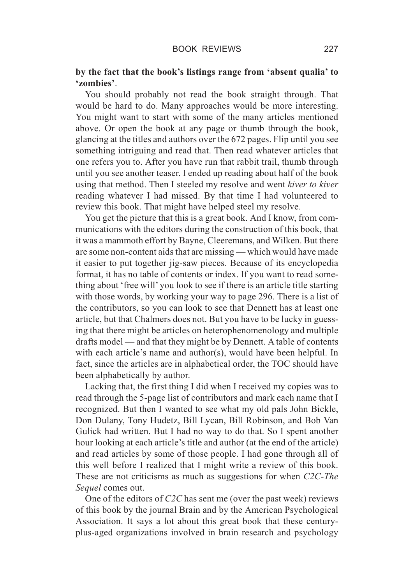# **by the fact that the book's listings range from 'absent qualia' to 'zombies'**.

You should probably not read the book straight through. That would be hard to do. Many approaches would be more interesting. You might want to start with some of the many articles mentioned above. Or open the book at any page or thumb through the book, glancing at the titles and authors over the 672 pages. Flip until you see something intriguing and read that. Then read whatever articles that one refers you to. After you have run that rabbit trail, thumb through until you see another teaser. I ended up reading about half of the book using that method. Then I steeled my resolve and went *kiver to kiver* reading whatever I had missed. By that time I had volunteered to review this book. That might have helped steel my resolve.

You get the picture that this is a great book. And I know, from communications with the editors during the construction of this book, that it was a mammoth effort by Bayne, Cleeremans, and Wilken. But there are some non-content aids that are missing — which would have made it easier to put together jig-saw pieces. Because of its encyclopedia format, it has no table of contents or index. If you want to read something about 'free will' you look to see if there is an article title starting with those words, by working your way to page 296. There is a list of the contributors, so you can look to see that Dennett has at least one article, but that Chalmers does not. But you have to be lucky in guessing that there might be articles on heterophenomenology and multiple drafts model — and that they might be by Dennett. A table of contents with each article's name and author(s), would have been helpful. In fact, since the articles are in alphabetical order, the TOC should have been alphabetically by author.

Lacking that, the first thing I did when I received my copies was to read through the 5-page list of contributors and mark each name that I recognized. But then I wanted to see what my old pals John Bickle, Don Dulany, Tony Hudetz, Bill Lycan, Bill Robinson, and Bob Van Gulick had written. But I had no way to do that. So I spent another hour looking at each article's title and author (at the end of the article) and read articles by some of those people. I had gone through all of this well before I realized that I might write a review of this book. These are not criticisms as much as suggestions for when *C2C-The Sequel* comes out.

One of the editors of *C2C* has sent me (over the past week) reviews of this book by the journal Brain and by the American Psychological Association. It says a lot about this great book that these centuryplus-aged organizations involved in brain research and psychology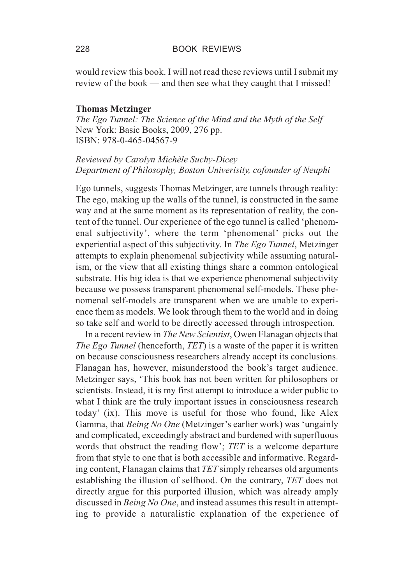would review this book. I will not read these reviews until I submit my review of the book — and then see what they caught that I missed!

#### **Thomas Metzinger**

*The Ego Tunnel: The Science of the Mind and the Myth of the Self* New York: Basic Books, 2009, 276 pp. ISBN: 978-0-465-04567-9

# *Reviewed by Carolyn Michèle Suchy-Dicey Department of Philosophy, Boston Univerisity, cofounder of Neuphi*

Ego tunnels, suggests Thomas Metzinger, are tunnels through reality: The ego, making up the walls of the tunnel, is constructed in the same way and at the same moment as its representation of reality, the content of the tunnel. Our experience of the ego tunnel is called 'phenomenal subjectivity', where the term 'phenomenal' picks out the experiential aspect of this subjectivity. In *The Ego Tunnel*, Metzinger attempts to explain phenomenal subjectivity while assuming naturalism, or the view that all existing things share a common ontological substrate. His big idea is that we experience phenomenal subjectivity because we possess transparent phenomenal self-models. These phenomenal self-models are transparent when we are unable to experience them as models. We look through them to the world and in doing so take self and world to be directly accessed through introspection.

In a recent review in *The New Scientist*, Owen Flanagan objects that *The Ego Tunnel* (henceforth, *TET*) is a waste of the paper it is written on because consciousness researchers already accept its conclusions. Flanagan has, however, misunderstood the book's target audience. Metzinger says, 'This book has not been written for philosophers or scientists. Instead, it is my first attempt to introduce a wider public to what I think are the truly important issues in consciousness research today' (ix). This move is useful for those who found, like Alex Gamma, that *Being No One* (Metzinger's earlier work) was 'ungainly and complicated, exceedingly abstract and burdened with superfluous words that obstruct the reading flow'; *TET* is a welcome departure from that style to one that is both accessible and informative. Regarding content, Flanagan claims that *TET* simply rehearses old arguments establishing the illusion of selfhood. On the contrary, *TET* does not directly argue for this purported illusion, which was already amply discussed in *Being No One*, and instead assumes this result in attempting to provide a naturalistic explanation of the experience of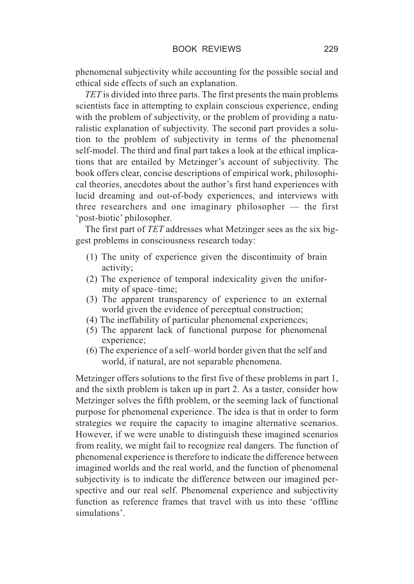phenomenal subjectivity while accounting for the possible social and ethical side effects of such an explanation.

*TET* is divided into three parts. The first presents the main problems scientists face in attempting to explain conscious experience, ending with the problem of subjectivity, or the problem of providing a naturalistic explanation of subjectivity. The second part provides a solution to the problem of subjectivity in terms of the phenomenal self-model. The third and final part takes a look at the ethical implications that are entailed by Metzinger's account of subjectivity. The book offers clear, concise descriptions of empirical work, philosophical theories, anecdotes about the author's first hand experiences with lucid dreaming and out-of-body experiences, and interviews with three researchers and one imaginary philosopher — the first 'post-biotic' philosopher.

The first part of *TET* addresses what Metzinger sees as the six biggest problems in consciousness research today:

- (1) The unity of experience given the discontinuity of brain activity;
- (2) The experience of temporal indexicality given the uniformity of space–time;
- (3) The apparent transparency of experience to an external world given the evidence of perceptual construction;
- (4) The ineffability of particular phenomenal experiences;
- (5) The apparent lack of functional purpose for phenomenal experience;
- (6) The experience of a self–world border given that the self and world, if natural, are not separable phenomena.

Metzinger offers solutions to the first five of these problems in part 1, and the sixth problem is taken up in part 2. As a taster, consider how Metzinger solves the fifth problem, or the seeming lack of functional purpose for phenomenal experience. The idea is that in order to form strategies we require the capacity to imagine alternative scenarios. However, if we were unable to distinguish these imagined scenarios from reality, we might fail to recognize real dangers. The function of phenomenal experience is therefore to indicate the difference between imagined worlds and the real world, and the function of phenomenal subjectivity is to indicate the difference between our imagined perspective and our real self. Phenomenal experience and subjectivity function as reference frames that travel with us into these 'offline simulations'.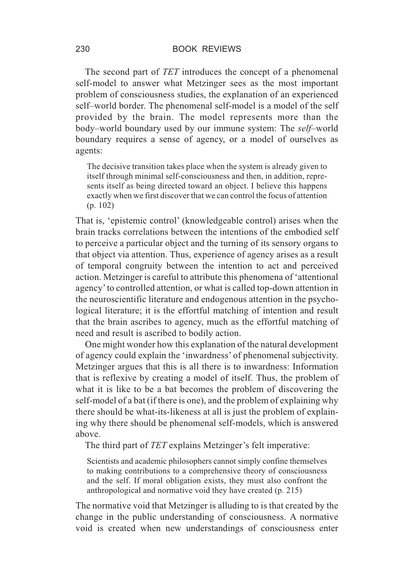The second part of *TET* introduces the concept of a phenomenal self-model to answer what Metzinger sees as the most important problem of consciousness studies, the explanation of an experienced self–world border. The phenomenal self-model is a model of the self provided by the brain. The model represents more than the body–world boundary used by our immune system: The *self*–world boundary requires a sense of agency, or a model of ourselves as agents:

The decisive transition takes place when the system is already given to itself through minimal self-consciousness and then, in addition, represents itself as being directed toward an object. I believe this happens exactly when we first discover that we can control the focus of attention (p. 102)

That is, 'epistemic control' (knowledgeable control) arises when the brain tracks correlations between the intentions of the embodied self to perceive a particular object and the turning of its sensory organs to that object via attention. Thus, experience of agency arises as a result of temporal congruity between the intention to act and perceived action. Metzinger is careful to attribute this phenomena of 'attentional agency'to controlled attention, or what is called top-down attention in the neuroscientific literature and endogenous attention in the psychological literature; it is the effortful matching of intention and result that the brain ascribes to agency, much as the effortful matching of need and result is ascribed to bodily action.

One might wonder how this explanation of the natural development of agency could explain the 'inwardness' of phenomenal subjectivity. Metzinger argues that this is all there is to inwardness: Information that is reflexive by creating a model of itself. Thus, the problem of what it is like to be a bat becomes the problem of discovering the self-model of a bat (if there is one), and the problem of explaining why there should be what-its-likeness at all is just the problem of explaining why there should be phenomenal self-models, which is answered above.

The third part of *TET* explains Metzinger's felt imperative:

Scientists and academic philosophers cannot simply confine themselves to making contributions to a comprehensive theory of consciousness and the self. If moral obligation exists, they must also confront the anthropological and normative void they have created (p. 215)

The normative void that Metzinger is alluding to is that created by the change in the public understanding of consciousness. A normative void is created when new understandings of consciousness enter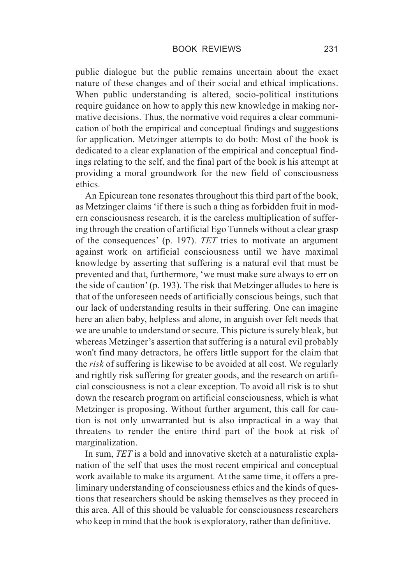public dialogue but the public remains uncertain about the exact nature of these changes and of their social and ethical implications. When public understanding is altered, socio-political institutions require guidance on how to apply this new knowledge in making normative decisions. Thus, the normative void requires a clear communication of both the empirical and conceptual findings and suggestions for application. Metzinger attempts to do both: Most of the book is dedicated to a clear explanation of the empirical and conceptual findings relating to the self, and the final part of the book is his attempt at providing a moral groundwork for the new field of consciousness ethics.

An Epicurean tone resonates throughout this third part of the book, as Metzinger claims 'if there is such a thing as forbidden fruit in modern consciousness research, it is the careless multiplication of suffering through the creation of artificial Ego Tunnels without a clear grasp of the consequences' (p. 197). *TET* tries to motivate an argument against work on artificial consciousness until we have maximal knowledge by asserting that suffering is a natural evil that must be prevented and that, furthermore, 'we must make sure always to err on the side of caution' (p. 193). The risk that Metzinger alludes to here is that of the unforeseen needs of artificially conscious beings, such that our lack of understanding results in their suffering. One can imagine here an alien baby, helpless and alone, in anguish over felt needs that we are unable to understand or secure. This picture is surely bleak, but whereas Metzinger's assertion that suffering is a natural evil probably won't find many detractors, he offers little support for the claim that the *risk* of suffering is likewise to be avoided at all cost. We regularly and rightly risk suffering for greater goods, and the research on artificial consciousness is not a clear exception. To avoid all risk is to shut down the research program on artificial consciousness, which is what Metzinger is proposing. Without further argument, this call for caution is not only unwarranted but is also impractical in a way that threatens to render the entire third part of the book at risk of marginalization.

In sum, *TET* is a bold and innovative sketch at a naturalistic explanation of the self that uses the most recent empirical and conceptual work available to make its argument. At the same time, it offers a preliminary understanding of consciousness ethics and the kinds of questions that researchers should be asking themselves as they proceed in this area. All of this should be valuable for consciousness researchers who keep in mind that the book is exploratory, rather than definitive.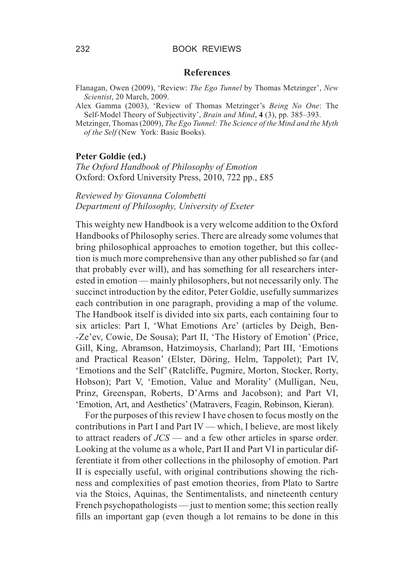#### **References**

Flanagan, Owen (2009), 'Review: *The Ego Tunnel* by Thomas Metzinger', *New Scientist*, 20 March, 2009.

Alex Gamma (2003), 'Review of Thomas Metzinger's *Being No One*: The Self-Model Theory of Subjectivity', *Brain and Mind*, **4** (3), pp. 385–393.

Metzinger, Thomas (2009), *The Ego Tunnel: The Science of the Mind and the Myth of the Self* (New York: Basic Books).

#### **Peter Goldie (ed.)**

*The Oxford Handbook of Philosophy of Emotion* Oxford: Oxford University Press, 2010, 722 pp., £85

# *Reviewed by Giovanna Colombetti Department of Philosophy, University of Exeter*

This weighty new Handbook is a very welcome addition to the Oxford Handbooks of Philosophy series. There are already some volumes that bring philosophical approaches to emotion together, but this collection is much more comprehensive than any other published so far (and that probably ever will), and has something for all researchers interested in emotion — mainly philosophers, but not necessarily only. The succinct introduction by the editor, Peter Goldie, usefully summarizes each contribution in one paragraph, providing a map of the volume. The Handbook itself is divided into six parts, each containing four to six articles: Part I, 'What Emotions Are' (articles by Deigh, Ben- -Ze'ev, Cowie, De Sousa); Part II, 'The History of Emotion' (Price, Gill, King, Abramson, Hatzimoysis, Charland); Part III, 'Emotions and Practical Reason' (Elster, Döring, Helm, Tappolet); Part IV, 'Emotions and the Self' (Ratcliffe, Pugmire, Morton, Stocker, Rorty, Hobson); Part V, 'Emotion, Value and Morality' (Mulligan, Neu, Prinz, Greenspan, Roberts, D'Arms and Jacobson); and Part VI, 'Emotion, Art, and Aesthetics' (Matravers, Feagin, Robinson, Kieran).

For the purposes of this review I have chosen to focus mostly on the contributions in Part I and Part IV — which, I believe, are most likely to attract readers of *JCS* — and a few other articles in sparse order. Looking at the volume as a whole, Part II and Part VI in particular differentiate it from other collections in the philosophy of emotion. Part II is especially useful, with original contributions showing the richness and complexities of past emotion theories, from Plato to Sartre via the Stoics, Aquinas, the Sentimentalists, and nineteenth century French psychopathologists — just to mention some; this section really fills an important gap (even though a lot remains to be done in this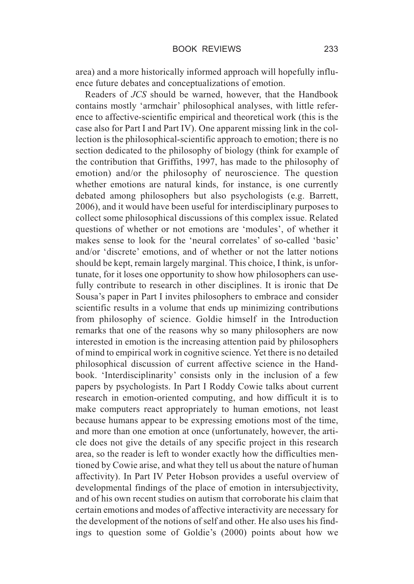area) and a more historically informed approach will hopefully influence future debates and conceptualizations of emotion.

Readers of *JCS* should be warned, however, that the Handbook contains mostly 'armchair' philosophical analyses, with little reference to affective-scientific empirical and theoretical work (this is the case also for Part I and Part IV). One apparent missing link in the collection is the philosophical-scientific approach to emotion; there is no section dedicated to the philosophy of biology (think for example of the contribution that Griffiths, 1997, has made to the philosophy of emotion) and/or the philosophy of neuroscience. The question whether emotions are natural kinds, for instance, is one currently debated among philosophers but also psychologists (e.g. Barrett, 2006), and it would have been useful for interdisciplinary purposes to collect some philosophical discussions of this complex issue. Related questions of whether or not emotions are 'modules', of whether it makes sense to look for the 'neural correlates' of so-called 'basic' and/or 'discrete' emotions, and of whether or not the latter notions should be kept, remain largely marginal. This choice, I think, is unfortunate, for it loses one opportunity to show how philosophers can usefully contribute to research in other disciplines. It is ironic that De Sousa's paper in Part I invites philosophers to embrace and consider scientific results in a volume that ends up minimizing contributions from philosophy of science. Goldie himself in the Introduction remarks that one of the reasons why so many philosophers are now interested in emotion is the increasing attention paid by philosophers of mind to empirical work in cognitive science. Yet there is no detailed philosophical discussion of current affective science in the Handbook. 'Interdisciplinarity' consists only in the inclusion of a few papers by psychologists. In Part I Roddy Cowie talks about current research in emotion-oriented computing, and how difficult it is to make computers react appropriately to human emotions, not least because humans appear to be expressing emotions most of the time, and more than one emotion at once (unfortunately, however, the article does not give the details of any specific project in this research area, so the reader is left to wonder exactly how the difficulties mentioned by Cowie arise, and what they tell us about the nature of human affectivity). In Part IV Peter Hobson provides a useful overview of developmental findings of the place of emotion in intersubjectivity, and of his own recent studies on autism that corroborate his claim that certain emotions and modes of affective interactivity are necessary for the development of the notions of self and other. He also uses his findings to question some of Goldie's (2000) points about how we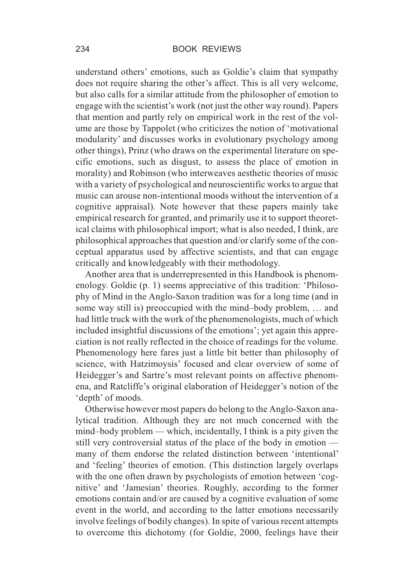understand others' emotions, such as Goldie's claim that sympathy does not require sharing the other's affect. This is all very welcome, but also calls for a similar attitude from the philosopher of emotion to engage with the scientist's work (not just the other way round). Papers that mention and partly rely on empirical work in the rest of the volume are those by Tappolet (who criticizes the notion of 'motivational modularity' and discusses works in evolutionary psychology among other things), Prinz (who draws on the experimental literature on specific emotions, such as disgust, to assess the place of emotion in morality) and Robinson (who interweaves aesthetic theories of music with a variety of psychological and neuroscientific works to argue that music can arouse non-intentional moods without the intervention of a cognitive appraisal). Note however that these papers mainly take empirical research for granted, and primarily use it to support theoretical claims with philosophical import; what is also needed, I think, are philosophical approaches that question and/or clarify some of the conceptual apparatus used by affective scientists, and that can engage critically and knowledgeably with their methodology.

Another area that is underrepresented in this Handbook is phenomenology. Goldie (p. 1) seems appreciative of this tradition: 'Philosophy of Mind in the Anglo-Saxon tradition was for a long time (and in some way still is) preoccupied with the mind–body problem, … and had little truck with the work of the phenomenologists, much of which included insightful discussions of the emotions'; yet again this appreciation is not really reflected in the choice of readings for the volume. Phenomenology here fares just a little bit better than philosophy of science, with Hatzimoysis' focused and clear overview of some of Heidegger's and Sartre's most relevant points on affective phenomena, and Ratcliffe's original elaboration of Heidegger's notion of the 'depth' of moods.

Otherwise however most papers do belong to the Anglo-Saxon analytical tradition. Although they are not much concerned with the mind–body problem — which, incidentally, I think is a pity given the still very controversial status of the place of the body in emotion many of them endorse the related distinction between 'intentional' and 'feeling' theories of emotion. (This distinction largely overlaps with the one often drawn by psychologists of emotion between 'cognitive' and 'Jamesian' theories. Roughly, according to the former emotions contain and/or are caused by a cognitive evaluation of some event in the world, and according to the latter emotions necessarily involve feelings of bodily changes). In spite of various recent attempts to overcome this dichotomy (for Goldie, 2000, feelings have their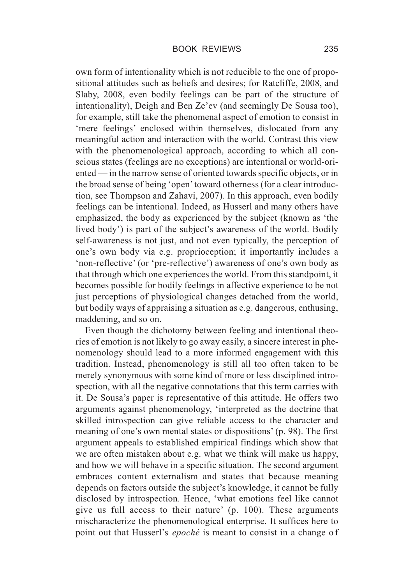own form of intentionality which is not reducible to the one of propositional attitudes such as beliefs and desires; for Ratcliffe, 2008, and Slaby, 2008, even bodily feelings can be part of the structure of intentionality), Deigh and Ben Ze'ev (and seemingly De Sousa too), for example, still take the phenomenal aspect of emotion to consist in 'mere feelings' enclosed within themselves, dislocated from any meaningful action and interaction with the world. Contrast this view with the phenomenological approach, according to which all conscious states (feelings are no exceptions) are intentional or world-oriented — in the narrow sense of oriented towards specific objects, or in the broad sense of being 'open'toward otherness (for a clear introduction, see Thompson and Zahavi, 2007). In this approach, even bodily feelings can be intentional. Indeed, as Husserl and many others have emphasized, the body as experienced by the subject (known as 'the lived body') is part of the subject's awareness of the world. Bodily self-awareness is not just, and not even typically, the perception of one's own body via e.g. proprioception; it importantly includes a 'non-reflective' (or 'pre-reflective') awareness of one's own body as that through which one experiences the world. From this standpoint, it becomes possible for bodily feelings in affective experience to be not just perceptions of physiological changes detached from the world, but bodily ways of appraising a situation as e.g. dangerous, enthusing, maddening, and so on.

Even though the dichotomy between feeling and intentional theories of emotion is not likely to go away easily, a sincere interest in phenomenology should lead to a more informed engagement with this tradition. Instead, phenomenology is still all too often taken to be merely synonymous with some kind of more or less disciplined introspection, with all the negative connotations that this term carries with it. De Sousa's paper is representative of this attitude. He offers two arguments against phenomenology, 'interpreted as the doctrine that skilled introspection can give reliable access to the character and meaning of one's own mental states or dispositions' (p. 98). The first argument appeals to established empirical findings which show that we are often mistaken about e.g. what we think will make us happy, and how we will behave in a specific situation. The second argument embraces content externalism and states that because meaning depends on factors outside the subject's knowledge, it cannot be fully disclosed by introspection. Hence, 'what emotions feel like cannot give us full access to their nature' (p. 100). These arguments mischaracterize the phenomenological enterprise. It suffices here to point out that Husserl's *epoché* is meant to consist in a change o f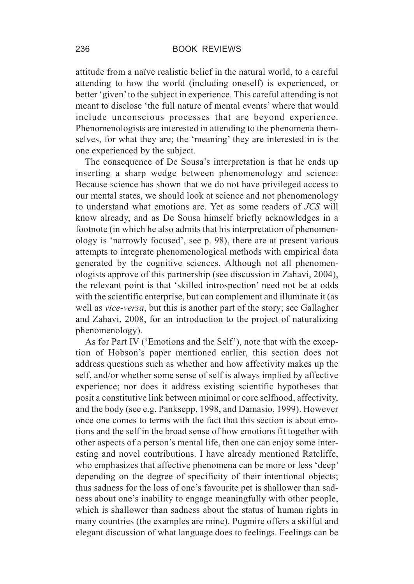attitude from a naïve realistic belief in the natural world, to a careful attending to how the world (including oneself) is experienced, or better 'given'to the subject in experience. This careful attending is not meant to disclose 'the full nature of mental events' where that would include unconscious processes that are beyond experience. Phenomenologists are interested in attending to the phenomena themselves, for what they are; the 'meaning' they are interested in is the one experienced by the subject.

The consequence of De Sousa's interpretation is that he ends up inserting a sharp wedge between phenomenology and science: Because science has shown that we do not have privileged access to our mental states, we should look at science and not phenomenology to understand what emotions are. Yet as some readers of *JCS* will know already, and as De Sousa himself briefly acknowledges in a footnote (in which he also admits that his interpretation of phenomenology is 'narrowly focused', see p. 98), there are at present various attempts to integrate phenomenological methods with empirical data generated by the cognitive sciences. Although not all phenomenologists approve of this partnership (see discussion in Zahavi, 2004), the relevant point is that 'skilled introspection' need not be at odds with the scientific enterprise, but can complement and illuminate it (as well as *vice-versa*, but this is another part of the story; see Gallagher and Zahavi, 2008, for an introduction to the project of naturalizing phenomenology).

As for Part IV ('Emotions and the Self'), note that with the exception of Hobson's paper mentioned earlier, this section does not address questions such as whether and how affectivity makes up the self, and/or whether some sense of self is always implied by affective experience; nor does it address existing scientific hypotheses that posit a constitutive link between minimal or core selfhood, affectivity, and the body (see e.g. Panksepp, 1998, and Damasio, 1999). However once one comes to terms with the fact that this section is about emotions and the self in the broad sense of how emotions fit together with other aspects of a person's mental life, then one can enjoy some interesting and novel contributions. I have already mentioned Ratcliffe, who emphasizes that affective phenomena can be more or less 'deep' depending on the degree of specificity of their intentional objects; thus sadness for the loss of one's favourite pet is shallower than sadness about one's inability to engage meaningfully with other people, which is shallower than sadness about the status of human rights in many countries (the examples are mine). Pugmire offers a skilful and elegant discussion of what language does to feelings. Feelings can be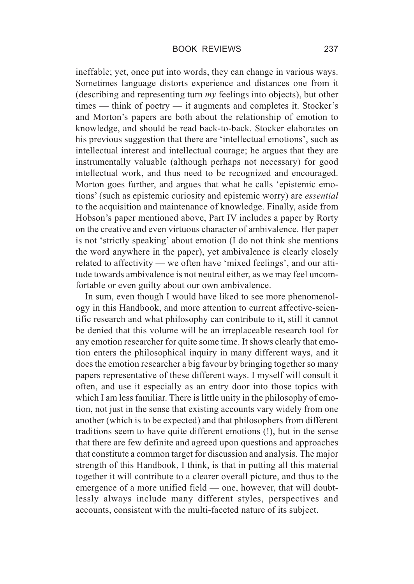ineffable; yet, once put into words, they can change in various ways. Sometimes language distorts experience and distances one from it (describing and representing turn *my* feelings into objects), but other times — think of poetry — it augments and completes it. Stocker's and Morton's papers are both about the relationship of emotion to knowledge, and should be read back-to-back. Stocker elaborates on his previous suggestion that there are 'intellectual emotions', such as intellectual interest and intellectual courage; he argues that they are instrumentally valuable (although perhaps not necessary) for good intellectual work, and thus need to be recognized and encouraged. Morton goes further, and argues that what he calls 'epistemic emotions' (such as epistemic curiosity and epistemic worry) are *essential* to the acquisition and maintenance of knowledge. Finally, aside from Hobson's paper mentioned above, Part IV includes a paper by Rorty on the creative and even virtuous character of ambivalence. Her paper is not 'strictly speaking' about emotion (I do not think she mentions the word anywhere in the paper), yet ambivalence is clearly closely related to affectivity — we often have 'mixed feelings', and our attitude towards ambivalence is not neutral either, as we may feel uncomfortable or even guilty about our own ambivalence.

In sum, even though I would have liked to see more phenomenology in this Handbook, and more attention to current affective-scientific research and what philosophy can contribute to it, still it cannot be denied that this volume will be an irreplaceable research tool for any emotion researcher for quite some time. It shows clearly that emotion enters the philosophical inquiry in many different ways, and it does the emotion researcher a big favour by bringing together so many papers representative of these different ways. I myself will consult it often, and use it especially as an entry door into those topics with which I am less familiar. There is little unity in the philosophy of emotion, not just in the sense that existing accounts vary widely from one another (which is to be expected) and that philosophers from different traditions seem to have quite different emotions (!), but in the sense that there are few definite and agreed upon questions and approaches that constitute a common target for discussion and analysis. The major strength of this Handbook, I think, is that in putting all this material together it will contribute to a clearer overall picture, and thus to the emergence of a more unified field — one, however, that will doubtlessly always include many different styles, perspectives and accounts, consistent with the multi-faceted nature of its subject.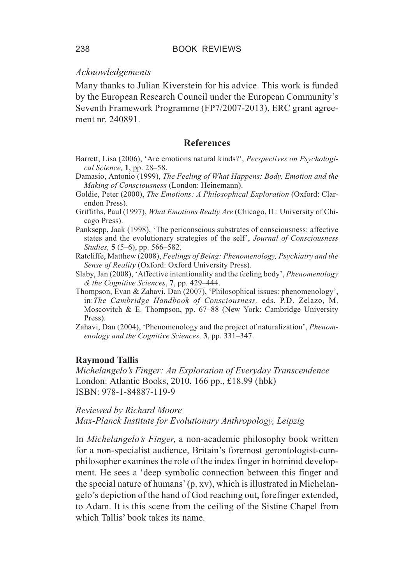# *Acknowledgements*

Many thanks to Julian Kiverstein for his advice. This work is funded by the European Research Council under the European Community's Seventh Framework Programme (FP7/2007-2013), ERC grant agreement nr. 240891.

# **References**

- Barrett, Lisa (2006), 'Are emotions natural kinds?', *Perspectives on Psychological Science,* **1**, pp. 28–58.
- Damasio, Antonio (1999), *The Feeling of What Happens: Body, Emotion and the Making of Consciousness* (London: Heinemann).
- Goldie, Peter (2000), *The Emotions: A Philosophical Exploration* (Oxford: Clarendon Press).
- Griffiths, Paul (1997), *What Emotions Really Are* (Chicago, IL: University of Chicago Press).
- Panksepp, Jaak (1998), 'The periconscious substrates of consciousness: affective states and the evolutionary strategies of the self', *Journal of Consciousness Studies,* **5** (5–6), pp. 566–582.
- Ratcliffe, Matthew (2008), *Feelings of Being: Phenomenology, Psychiatry and the Sense of Reality* (Oxford: Oxford University Press).
- Slaby, Jan (2008), 'Affective intentionality and the feeling body', *Phenomenology & the Cognitive Sciences*, **7**, pp. 429–444.
- Thompson, Evan & Zahavi, Dan (2007), 'Philosophical issues: phenomenology', in:*The Cambridge Handbook of Consciousness,* eds. P.D. Zelazo, M. Moscovitch & E. Thompson, pp. 67–88 (New York: Cambridge University Press).
- Zahavi, Dan (2004), 'Phenomenology and the project of naturalization', *Phenomenology and the Cognitive Sciences,* **3**, pp. 331–347.

#### **Raymond Tallis**

*Michelangelo's Finger: An Exploration of Everyday Transcendence* London: Atlantic Books, 2010, 166 pp., £18.99 (hbk) ISBN: 978-1-84887-119-9

# *Reviewed by Richard Moore Max-Planck Institute for Evolutionary Anthropology, Leipzig*

In *Michelangelo's Finger*, a non-academic philosophy book written for a non-specialist audience, Britain's foremost gerontologist-cumphilosopher examines the role of the index finger in hominid development. He sees a 'deep symbolic connection between this finger and the special nature of humans' (p. xv), which is illustrated in Michelangelo's depiction of the hand of God reaching out, forefinger extended, to Adam. It is this scene from the ceiling of the Sistine Chapel from which Tallis' book takes its name.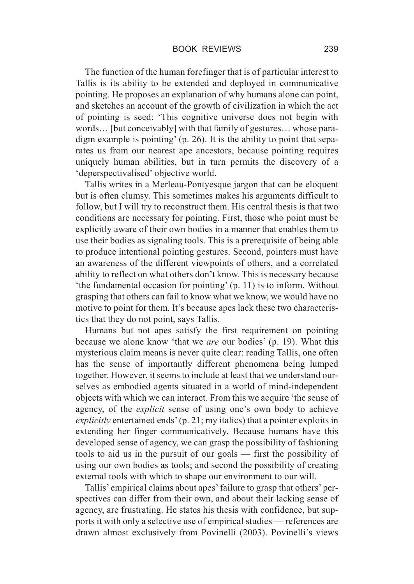The function of the human forefinger that is of particular interest to Tallis is its ability to be extended and deployed in communicative pointing. He proposes an explanation of why humans alone can point, and sketches an account of the growth of civilization in which the act of pointing is seed: 'This cognitive universe does not begin with words… [but conceivably] with that family of gestures… whose paradigm example is pointing' (p. 26). It is the ability to point that separates us from our nearest ape ancestors, because pointing requires uniquely human abilities, but in turn permits the discovery of a 'deperspectivalised' objective world.

Tallis writes in a Merleau-Pontyesque jargon that can be eloquent but is often clumsy. This sometimes makes his arguments difficult to follow, but I will try to reconstruct them. His central thesis is that two conditions are necessary for pointing. First, those who point must be explicitly aware of their own bodies in a manner that enables them to use their bodies as signaling tools. This is a prerequisite of being able to produce intentional pointing gestures. Second, pointers must have an awareness of the different viewpoints of others, and a correlated ability to reflect on what others don't know. This is necessary because 'the fundamental occasion for pointing' (p. 11) is to inform. Without grasping that others can fail to know what we know, we would have no motive to point for them. It's because apes lack these two characteristics that they do not point, says Tallis.

Humans but not apes satisfy the first requirement on pointing because we alone know 'that we *are* our bodies' (p. 19). What this mysterious claim means is never quite clear: reading Tallis, one often has the sense of importantly different phenomena being lumped together. However, it seems to include at least that we understand ourselves as embodied agents situated in a world of mind-independent objects with which we can interact. From this we acquire 'the sense of agency, of the *explicit* sense of using one's own body to achieve *explicitly* entertained ends' (p. 21; my italics) that a pointer exploits in extending her finger communicatively. Because humans have this developed sense of agency, we can grasp the possibility of fashioning tools to aid us in the pursuit of our goals — first the possibility of using our own bodies as tools; and second the possibility of creating external tools with which to shape our environment to our will.

Tallis' empirical claims about apes' failure to grasp that others' perspectives can differ from their own, and about their lacking sense of agency, are frustrating. He states his thesis with confidence, but supports it with only a selective use of empirical studies — references are drawn almost exclusively from Povinelli (2003). Povinelli's views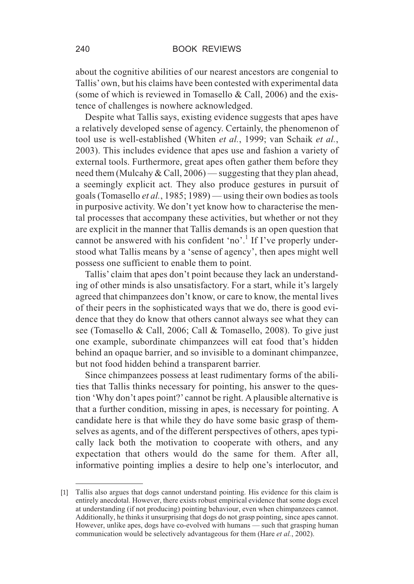about the cognitive abilities of our nearest ancestors are congenial to Tallis'own, but his claims have been contested with experimental data (some of which is reviewed in Tomasello & Call, 2006) and the existence of challenges is nowhere acknowledged.

Despite what Tallis says, existing evidence suggests that apes have a relatively developed sense of agency. Certainly, the phenomenon of tool use is well-established (Whiten *et al.*, 1999; van Schaik *et al.*, 2003). This includes evidence that apes use and fashion a variety of external tools. Furthermore, great apes often gather them before they need them (Mulcahy & Call, 2006) — suggesting that they plan ahead, a seemingly explicit act. They also produce gestures in pursuit of goals (Tomasello *et al.*, 1985; 1989) — using their own bodies as tools in purposive activity. We don't yet know how to characterise the mental processes that accompany these activities, but whether or not they are explicit in the manner that Tallis demands is an open question that cannot be answered with his confident 'no'.<sup>1</sup> If I've properly understood what Tallis means by a 'sense of agency', then apes might well possess one sufficient to enable them to point.

Tallis' claim that apes don't point because they lack an understanding of other minds is also unsatisfactory. For a start, while it's largely agreed that chimpanzees don't know, or care to know, the mental lives of their peers in the sophisticated ways that we do, there is good evidence that they do know that others cannot always see what they can see (Tomasello & Call, 2006; Call & Tomasello, 2008). To give just one example, subordinate chimpanzees will eat food that's hidden behind an opaque barrier, and so invisible to a dominant chimpanzee, but not food hidden behind a transparent barrier.

Since chimpanzees possess at least rudimentary forms of the abilities that Tallis thinks necessary for pointing, his answer to the question 'Why don't apes point?' cannot be right. A plausible alternative is that a further condition, missing in apes, is necessary for pointing. A candidate here is that while they do have some basic grasp of themselves as agents, and of the different perspectives of others, apes typically lack both the motivation to cooperate with others, and any expectation that others would do the same for them. After all, informative pointing implies a desire to help one's interlocutor, and

<sup>[1]</sup> Tallis also argues that dogs cannot understand pointing. His evidence for this claim is entirely anecdotal. However, there exists robust empirical evidence that some dogs excel at understanding (if not producing) pointing behaviour, even when chimpanzees cannot. Additionally, he thinks it unsurprising that dogs do not grasp pointing, since apes cannot. However, unlike apes, dogs have co-evolved with humans — such that grasping human communication would be selectively advantageous for them (Hare *et al.*, 2002).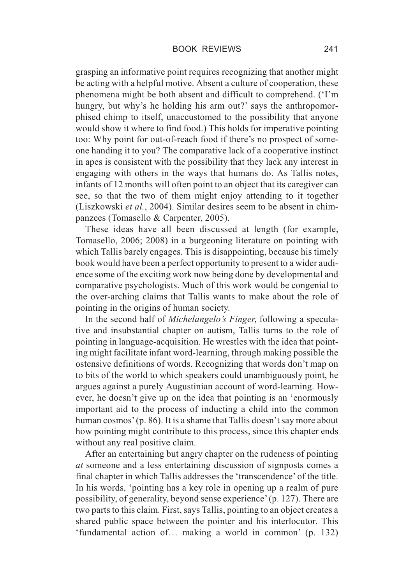grasping an informative point requires recognizing that another might be acting with a helpful motive. Absent a culture of cooperation, these phenomena might be both absent and difficult to comprehend. ('I'm hungry, but why's he holding his arm out?' says the anthropomorphised chimp to itself, unaccustomed to the possibility that anyone would show it where to find food.) This holds for imperative pointing too: Why point for out-of-reach food if there's no prospect of someone handing it to you? The comparative lack of a cooperative instinct in apes is consistent with the possibility that they lack any interest in engaging with others in the ways that humans do. As Tallis notes, infants of 12 months will often point to an object that its caregiver can see, so that the two of them might enjoy attending to it together (Liszkowski *et al.*, 2004). Similar desires seem to be absent in chimpanzees (Tomasello & Carpenter, 2005).

These ideas have all been discussed at length (for example, Tomasello, 2006; 2008) in a burgeoning literature on pointing with which Tallis barely engages. This is disappointing, because his timely book would have been a perfect opportunity to present to a wider audience some of the exciting work now being done by developmental and comparative psychologists. Much of this work would be congenial to the over-arching claims that Tallis wants to make about the role of pointing in the origins of human society.

In the second half of *Michelangelo's Finger*, following a speculative and insubstantial chapter on autism, Tallis turns to the role of pointing in language-acquisition. He wrestles with the idea that pointing might facilitate infant word-learning, through making possible the ostensive definitions of words. Recognizing that words don't map on to bits of the world to which speakers could unambiguously point, he argues against a purely Augustinian account of word-learning. However, he doesn't give up on the idea that pointing is an 'enormously important aid to the process of inducting a child into the common human cosmos' (p. 86). It is a shame that Tallis doesn't say more about how pointing might contribute to this process, since this chapter ends without any real positive claim.

After an entertaining but angry chapter on the rudeness of pointing *at* someone and a less entertaining discussion of signposts comes a final chapter in which Tallis addresses the 'transcendence' of the title. In his words, 'pointing has a key role in opening up a realm of pure possibility, of generality, beyond sense experience'(p. 127). There are two parts to this claim. First, says Tallis, pointing to an object creates a shared public space between the pointer and his interlocutor. This 'fundamental action of… making a world in common' (p. 132)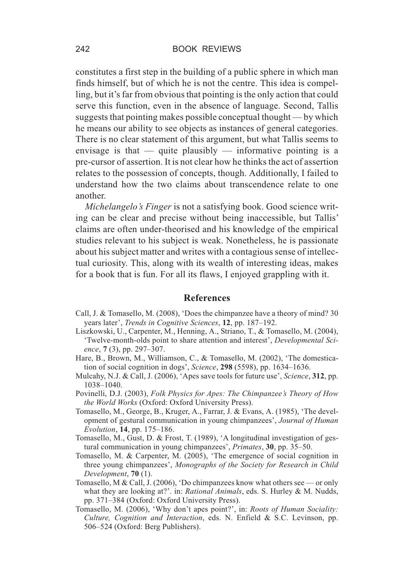constitutes a first step in the building of a public sphere in which man finds himself, but of which he is not the centre. This idea is compelling, but it's far from obvious that pointing is the only action that could serve this function, even in the absence of language. Second, Tallis suggests that pointing makes possible conceptual thought — by which he means our ability to see objects as instances of general categories. There is no clear statement of this argument, but what Tallis seems to envisage is that  $-$  quite plausibly  $-$  informative pointing is a pre-cursor of assertion. It is not clear how he thinks the act of assertion relates to the possession of concepts, though. Additionally, I failed to understand how the two claims about transcendence relate to one another.

*Michelangelo's Finger* is not a satisfying book. Good science writing can be clear and precise without being inaccessible, but Tallis' claims are often under-theorised and his knowledge of the empirical studies relevant to his subject is weak. Nonetheless, he is passionate about his subject matter and writes with a contagious sense of intellectual curiosity. This, along with its wealth of interesting ideas, makes for a book that is fun. For all its flaws, I enjoyed grappling with it.

## **References**

- Call, J. & Tomasello, M. (2008), 'Does the chimpanzee have a theory of mind? 30 years later', *Trends in Cognitive Sciences*, **12**, pp. 187–192.
- Liszkowski, U., Carpenter, M., Henning, A., Striano, T., & Tomasello, M. (2004), 'Twelve-month-olds point to share attention and interest', *Developmental Science*, **7** (3), pp. 297–307.
- Hare, B., Brown, M., Williamson, C., & Tomasello, M. (2002), 'The domestication of social cognition in dogs', *Science*, **298** (5598), pp. 1634–1636.
- Mulcahy, N.J. & Call, J. (2006), 'Apes save tools for future use', *Science*, **312**, pp. 1038–1040.
- Povinelli, D.J. (2003), *Folk Physics for Apes: The Chimpanzee's Theory of How the World Works* (Oxford: Oxford University Press).
- Tomasello, M., George, B., Kruger, A., Farrar, J. & Evans, A. (1985), 'The development of gestural communication in young chimpanzees', *Journal of Human Evolution*, **14**, pp. 175–186.
- Tomasello, M., Gust, D. & Frost, T. (1989), 'A longitudinal investigation of gestural communication in young chimpanzees', *Primates*, **30**, pp. 35–50.
- Tomasello, M. & Carpenter, M. (2005), 'The emergence of social cognition in three young chimpanzees', *Monographs of the Society for Research in Child Development*, **70** (1).
- Tomasello, M & Call, J. (2006), 'Do chimpanzees know what others see or only what they are looking at?'. in: *Rational Animals*, eds. S. Hurley & M. Nudds, pp. 371–384 (Oxford: Oxford University Press).
- Tomasello, M. (2006), 'Why don't apes point?', in: *Roots of Human Sociality: Culture, Cognition and Interaction*, eds. N. Enfield & S.C. Levinson, pp. 506–524 (Oxford: Berg Publishers).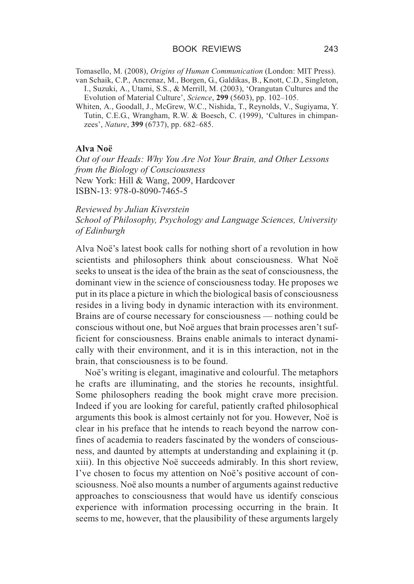Tomasello, M. (2008), *Origins of Human Communication* (London: MIT Press).

- van Schaik, C.P., Ancrenaz, M., Borgen, G., Galdikas, B., Knott, C.D., Singleton, I., Suzuki, A., Utami, S.S., & Merrill, M. (2003), 'Orangutan Cultures and the Evolution of Material Culture', *Science*, **299** (5603), pp. 102–105.
- Whiten, A., Goodall, J., McGrew, W.C., Nishida, T., Reynolds, V., Sugiyama, Y. Tutin, C.E.G., Wrangham, R.W. & Boesch, C. (1999), 'Cultures in chimpanzees', *Nature*, **399** (6737), pp. 682–685.

# **Alva Noë**

*Out of our Heads: Why You Are Not Your Brain, and Other Lessons from the Biology of Consciousness* New York: Hill & Wang, 2009, Hardcover ISBN-13: 978-0-8090-7465-5

*Reviewed by Julian Kiverstein*

*School of Philosophy, Psychology and Language Sciences, University of Edinburgh*

Alva Noë's latest book calls for nothing short of a revolution in how scientists and philosophers think about consciousness. What Noë seeks to unseat is the idea of the brain as the seat of consciousness, the dominant view in the science of consciousness today. He proposes we put in its place a picture in which the biological basis of consciousness resides in a living body in dynamic interaction with its environment. Brains are of course necessary for consciousness — nothing could be conscious without one, but Noë argues that brain processes aren't sufficient for consciousness. Brains enable animals to interact dynamically with their environment, and it is in this interaction, not in the brain, that consciousness is to be found.

Noë's writing is elegant, imaginative and colourful. The metaphors he crafts are illuminating, and the stories he recounts, insightful. Some philosophers reading the book might crave more precision. Indeed if you are looking for careful, patiently crafted philosophical arguments this book is almost certainly not for you. However, Noë is clear in his preface that he intends to reach beyond the narrow confines of academia to readers fascinated by the wonders of consciousness, and daunted by attempts at understanding and explaining it (p. xiii). In this objective Noë succeeds admirably. In this short review, I've chosen to focus my attention on Noë's positive account of consciousness. Noë also mounts a number of arguments against reductive approaches to consciousness that would have us identify conscious experience with information processing occurring in the brain. It seems to me, however, that the plausibility of these arguments largely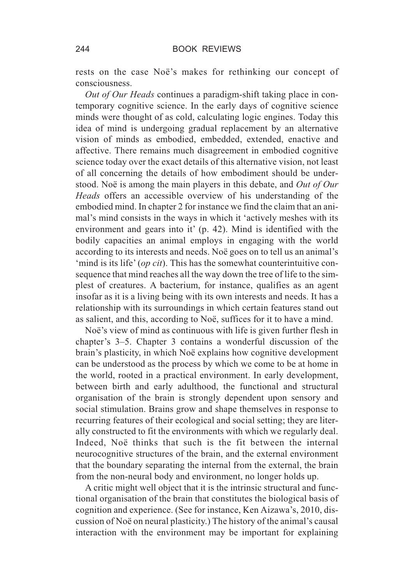rests on the case Noë's makes for rethinking our concept of consciousness.

*Out of Our Heads* continues a paradigm-shift taking place in contemporary cognitive science. In the early days of cognitive science minds were thought of as cold, calculating logic engines. Today this idea of mind is undergoing gradual replacement by an alternative vision of minds as embodied, embedded, extended, enactive and affective. There remains much disagreement in embodied cognitive science today over the exact details of this alternative vision, not least of all concerning the details of how embodiment should be understood. Noë is among the main players in this debate, and *Out of Our Heads* offers an accessible overview of his understanding of the embodied mind. In chapter 2 for instance we find the claim that an animal's mind consists in the ways in which it 'actively meshes with its environment and gears into it' (p. 42). Mind is identified with the bodily capacities an animal employs in engaging with the world according to its interests and needs. Noë goes on to tell us an animal's 'mind is its life' (*op cit*). This has the somewhat counterintuitive consequence that mind reaches all the way down the tree of life to the simplest of creatures. A bacterium, for instance, qualifies as an agent insofar as it is a living being with its own interests and needs. It has a relationship with its surroundings in which certain features stand out as salient, and this, according to Noë, suffices for it to have a mind.

Noë's view of mind as continuous with life is given further flesh in chapter's 3–5. Chapter 3 contains a wonderful discussion of the brain's plasticity, in which Noë explains how cognitive development can be understood as the process by which we come to be at home in the world, rooted in a practical environment. In early development, between birth and early adulthood, the functional and structural organisation of the brain is strongly dependent upon sensory and social stimulation. Brains grow and shape themselves in response to recurring features of their ecological and social setting; they are literally constructed to fit the environments with which we regularly deal. Indeed, Noë thinks that such is the fit between the internal neurocognitive structures of the brain, and the external environment that the boundary separating the internal from the external, the brain from the non-neural body and environment, no longer holds up.

A critic might well object that it is the intrinsic structural and functional organisation of the brain that constitutes the biological basis of cognition and experience. (See for instance, Ken Aizawa's, 2010, discussion of Noë on neural plasticity.) The history of the animal's causal interaction with the environment may be important for explaining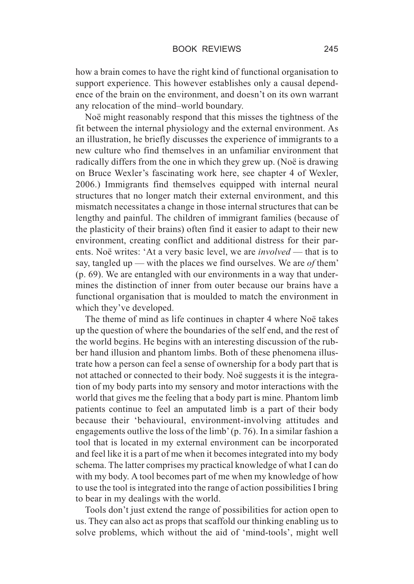how a brain comes to have the right kind of functional organisation to support experience. This however establishes only a causal dependence of the brain on the environment, and doesn't on its own warrant any relocation of the mind–world boundary.

Noë might reasonably respond that this misses the tightness of the fit between the internal physiology and the external environment. As an illustration, he briefly discusses the experience of immigrants to a new culture who find themselves in an unfamiliar environment that radically differs from the one in which they grew up. (Noë is drawing on Bruce Wexler's fascinating work here, see chapter 4 of Wexler, 2006.) Immigrants find themselves equipped with internal neural structures that no longer match their external environment, and this mismatch necessitates a change in those internal structures that can be lengthy and painful. The children of immigrant families (because of the plasticity of their brains) often find it easier to adapt to their new environment, creating conflict and additional distress for their parents. Noë writes: 'At a very basic level, we are *involved* — that is to say, tangled up — with the places we find ourselves. We are *of* them' (p. 69). We are entangled with our environments in a way that undermines the distinction of inner from outer because our brains have a functional organisation that is moulded to match the environment in which they've developed.

The theme of mind as life continues in chapter 4 where Noë takes up the question of where the boundaries of the self end, and the rest of the world begins. He begins with an interesting discussion of the rubber hand illusion and phantom limbs. Both of these phenomena illustrate how a person can feel a sense of ownership for a body part that is not attached or connected to their body. Noë suggests it is the integration of my body parts into my sensory and motor interactions with the world that gives me the feeling that a body part is mine. Phantom limb patients continue to feel an amputated limb is a part of their body because their 'behavioural, environment-involving attitudes and engagements outlive the loss of the limb' (p. 76). In a similar fashion a tool that is located in my external environment can be incorporated and feel like it is a part of me when it becomes integrated into my body schema. The latter comprises my practical knowledge of what I can do with my body. A tool becomes part of me when my knowledge of how to use the tool is integrated into the range of action possibilities I bring to bear in my dealings with the world.

Tools don't just extend the range of possibilities for action open to us. They can also act as props that scaffold our thinking enabling us to solve problems, which without the aid of 'mind-tools', might well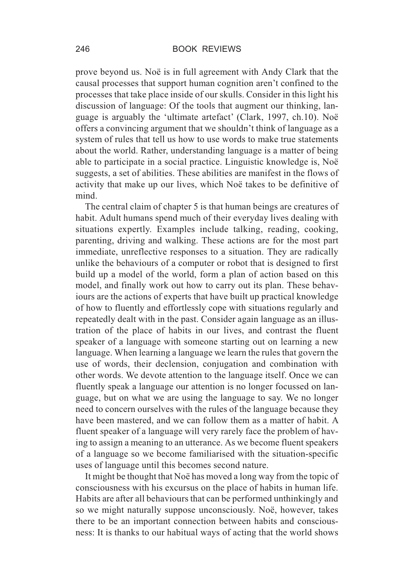prove beyond us. Noë is in full agreement with Andy Clark that the causal processes that support human cognition aren't confined to the processes that take place inside of our skulls. Consider in this light his discussion of language: Of the tools that augment our thinking, language is arguably the 'ultimate artefact' (Clark, 1997, ch.10). Noë offers a convincing argument that we shouldn't think of language as a system of rules that tell us how to use words to make true statements about the world. Rather, understanding language is a matter of being able to participate in a social practice. Linguistic knowledge is, Noë suggests, a set of abilities. These abilities are manifest in the flows of activity that make up our lives, which Noë takes to be definitive of mind.

The central claim of chapter 5 is that human beings are creatures of habit. Adult humans spend much of their everyday lives dealing with situations expertly. Examples include talking, reading, cooking, parenting, driving and walking. These actions are for the most part immediate, unreflective responses to a situation. They are radically unlike the behaviours of a computer or robot that is designed to first build up a model of the world, form a plan of action based on this model, and finally work out how to carry out its plan. These behaviours are the actions of experts that have built up practical knowledge of how to fluently and effortlessly cope with situations regularly and repeatedly dealt with in the past. Consider again language as an illustration of the place of habits in our lives, and contrast the fluent speaker of a language with someone starting out on learning a new language. When learning a language we learn the rules that govern the use of words, their declension, conjugation and combination with other words. We devote attention to the language itself. Once we can fluently speak a language our attention is no longer focussed on language, but on what we are using the language to say. We no longer need to concern ourselves with the rules of the language because they have been mastered, and we can follow them as a matter of habit. A fluent speaker of a language will very rarely face the problem of having to assign a meaning to an utterance. As we become fluent speakers of a language so we become familiarised with the situation-specific uses of language until this becomes second nature.

It might be thought that Noë has moved a long way from the topic of consciousness with his excursus on the place of habits in human life. Habits are after all behaviours that can be performed unthinkingly and so we might naturally suppose unconsciously. Noë, however, takes there to be an important connection between habits and consciousness: It is thanks to our habitual ways of acting that the world shows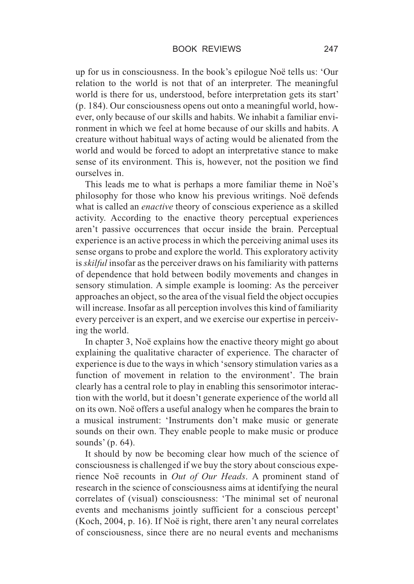up for us in consciousness. In the book's epilogue Noë tells us: 'Our relation to the world is not that of an interpreter. The meaningful world is there for us, understood, before interpretation gets its start' (p. 184). Our consciousness opens out onto a meaningful world, however, only because of our skills and habits. We inhabit a familiar environment in which we feel at home because of our skills and habits. A creature without habitual ways of acting would be alienated from the world and would be forced to adopt an interpretative stance to make sense of its environment. This is, however, not the position we find ourselves in.

This leads me to what is perhaps a more familiar theme in Noë's philosophy for those who know his previous writings. Noë defends what is called an *enactive* theory of conscious experience as a skilled activity. According to the enactive theory perceptual experiences aren't passive occurrences that occur inside the brain. Perceptual experience is an active process in which the perceiving animal uses its sense organs to probe and explore the world. This exploratory activity is *skilful* insofar as the perceiver draws on his familiarity with patterns of dependence that hold between bodily movements and changes in sensory stimulation. A simple example is looming: As the perceiver approaches an object, so the area of the visual field the object occupies will increase. Insofar as all perception involves this kind of familiarity every perceiver is an expert, and we exercise our expertise in perceiving the world.

In chapter 3, Noë explains how the enactive theory might go about explaining the qualitative character of experience. The character of experience is due to the ways in which 'sensory stimulation varies as a function of movement in relation to the environment'. The brain clearly has a central role to play in enabling this sensorimotor interaction with the world, but it doesn't generate experience of the world all on its own. Noë offers a useful analogy when he compares the brain to a musical instrument: 'Instruments don't make music or generate sounds on their own. They enable people to make music or produce sounds' (p. 64).

It should by now be becoming clear how much of the science of consciousness is challenged if we buy the story about conscious experience Noë recounts in *Out of Our Heads*. A prominent stand of research in the science of consciousness aims at identifying the neural correlates of (visual) consciousness: 'The minimal set of neuronal events and mechanisms jointly sufficient for a conscious percept' (Koch, 2004, p. 16). If Noë is right, there aren't any neural correlates of consciousness, since there are no neural events and mechanisms